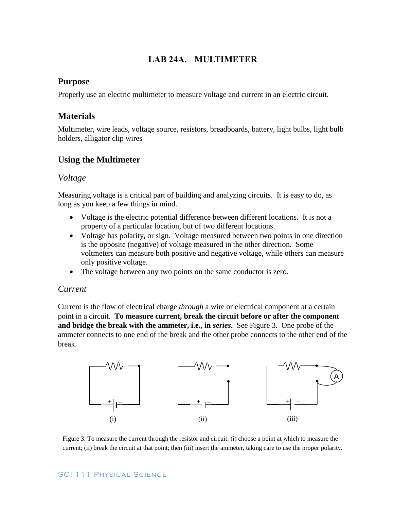# **LAB 24A. MULTIMETER**

#### **Purpose**

Properly use an electric multimeter to measure voltage and current in an electric circuit.

### **Materials**

Multimeter, wire leads, voltage source, resistors, breadboards, battery, light bulbs, light bulb holders, alligator clip wires

## **Using the Multimeter**

#### *Voltage*

Measuring voltage is a critical part of building and analyzing circuits. It is easy to do, as long as you keep a few things in mind.

- Voltage is the electric potential difference between different locations. It is not a property of a particular location, but of two different locations.
- Voltage has polarity, or sign. Voltage measured between two points in one direction is the opposite (negative) of voltage measured in the other direction. Some voltmeters can measure both positive and negative voltage, while others can measure only positive voltage.
- The voltage between any two points on the same conductor is zero.

#### *Current*

Current is the flow of electrical charge *through* a wire or electrical component at a certain point in a circuit. **To measure current, break the circuit before or after the component and bridge the break with the ammeter, i.e., in** *series***.** See Figure 3. One probe of the ammeter connects to one end of the break and the other probe connects to the other end of the break.



Figure 3. To measure the current through the resistor and circuit: (i) choose a point at which to measure the current; (ii) break the circuit at that point; then (iii) insert the ammeter, taking care to use the proper polarity.

#### SCI 111 Physical Science